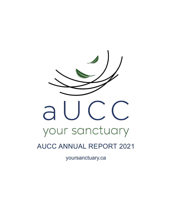

## **AUCC ANNUAL REPORT 2021**

yoursanctuary.ca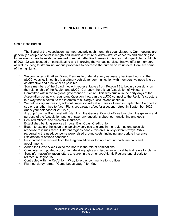#### **GENERAL REPORT OF 2021**

#### Chair: Ross Bartlett

The Board of the Association has met regularly each month this year via zoom. Our meetings are generally a couple of hours in length and include a mixture of administrative concerns and planning for future events. We have also attempted to remain attentive to emerging issues that impact clergy. Much of 2021-22 was focused on consolidating and improving the various services that we offer to members, as well as trying to streamline various processes to decrease the burden on volunteers. Here are some of the highlights:

- We contracted with Alison Woad Designs to undertake very necessary back-end work on the aUCC website. Since this is a primary vehicle for communication with members we need it to be as attractive and functional as possible
- Some members of the Board met with representatives from Region 15 to begin discussions on the relationship of the Region and aUCC. Currently, there is an Association of Ministers Committee within the Regional governance structure. This was crucial in the early days of the Association but now is redundant. Question: how can the aUCC connect to the Region's structure in a way that is helpful to the interests of all clergy? Discussions continue
- We held a very successful, sold-out, in-person retreat at Berwick Camp in September. So good to see one another face to face. Plans are already afoot for a second retreat in September 2022 (mark your calendar for 25<sup>th</sup>-27<sup>th</sup>!)
- A group from the Board met with staff from the General Council offices to explain the genesis and purpose of the Association and to answer any questions about our functioning and goals
- Secured officers' and directors' insurance
- Established banking services through East Coast Credit Union
- Began to explore the issue of chaplaincy services to clergy in the region as one possible response to issues faced. Different regions handle this area in very different ways. While recognizing the need, concerns were raised around costs (including appropriate insurance). Exploration of options continues
- Responded to a request from the Regional Minister for input around part-time calls and appointments
- Added the Rev'd Alicia Cox to the Board in the role of nominations
- Completed and posted a document detailing rights and issues around sabbatical leave for clergy
- Sent information/invitation letters to clergy in the other two Atlantic Regions and directly to retirees in Region 15
- Contracted with the Rev'd John Wray to act as communications officer<br>• Planned clergy retreat: "Come Let us Laugh" for May
- Planned clergy retreat: "Come Let us Laugh" for May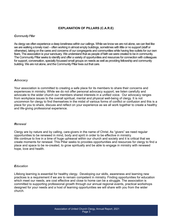#### **EXPLANATION OF PILLARS (C.A.R.E)**

#### *Community Pillar*

As clergy we often experience a deep loneliness within our callings. While we know we are not alone, we can feel like we are walking a lonely road – often working in almost empty buildings, sometimes with little or no support (staff or otherwise), taking on the cares and concerns of our congregants and communities while having few outlets for our own fears. The association is your sanctuary. We understand that as people of faith we were created to be in community. The Community Pillar seeks to identify and offer a variety of opportunities and resources for connection with colleagues for support, conversation, specially focussed small groups on needs as well as providing fellowship and community building. We are not alone, and the Community Pillar lives out that care.

#### *Advocacy*

Your association is committed to creating a safe place for its members to share their concerns and experiences in ministry. While we do not offer personal advocacy support, we listen carefully and advocate to the wider church our members shared interests in a unified voice. Our advocacy ranges from workplace issues to the overall spiritual, mental and physical well-being of clergy. It is not uncommon for clergy to find themselves in the midst of various forms of conflict or confusion and this is a place for you to share, discuss and reflect on your experience as we all work together to create a healthy and life-giving professional experience.

#### *Renewal*

Clergy are by nature and by calling, care-givers in the name of Christ. As "givers" we need regular opportunities to be renewed in mind, body and spirit in order to be effective in ministry. We continue to live in a time of huge upheaval within our church and society and it is critical that we create moments for renewal. This Pillar seeks to provides opportunities and resources for clergy to find a place and space to be re-created, to grow spiritually and be able to engage in ministry with renewed hope, love and health.

#### *Education*

Lifelong learning is essential for healthy clergy. Developing our skills, awareness and learning new practices is a requirement if we are to remain competent in ministry. Finding opportunities for education which meet our needs, are cost effective and close to home can be a struggle. The association is committed to supporting professional growth through our annual regional events, practical workshops designed for your needs and a host of learning opportunities we will share with you from the wider church.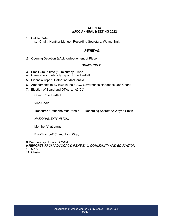#### **AGENDA aUCC ANNUAL MEETING 2022**

1. Call to Order

a. Chair: Heather Manuel; Recording Secretary: Wayne Smith

#### *RENEWAL*

*2.* Opening Devotion & Acknowledgement of Place:

#### *COMMUNITY*

- *3.* Small Group time (10 minutes): Linda
- 4. General accountability report: Ross Bartlett
- 5. Financial report: Catherine MacDonald
- 6. Amendments to By-laws in the aUCC Governance Handbook: Jeff Chant
- 7. Election of Board and Officers: *ALICIA*

Chair: Ross Bartlett

Vice-Chair:

Treasurer: Catherine MacDonald Recording Secretary: Wayne Smith

*NATIONAL EXPANSION:* 

Member(s) at Large:

Ex-officio: Jeff Chant, John Wray

8.Membership Update: *LINDA*

- 9.*REPORTS FROM ADVOCACY, RENEWAL, COMMUNITY AND EDUCATION*
- 10. Q&A
- 11. Closing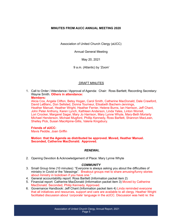#### **MINUTES FROM AUCC ANNUAL MEETING 2020**

Association of United Church Clergy (aUCC)

Annual General Meeting

May 20, 2021

9 a.m. (Atlantic) by 'Zoom'

#### DRAFT MINUTES

1. Call to Order / Attendance / Approval of Agenda: Chair: Ross Bartlett; Recording Secretary: Wayne Smith. **Others in attendance:**

**Members:**

Alicia Cox, Angela Clifton, Betsy Hogan, Carol Smith, Catherine MacDonald, Dale Crawford, David LeBlanc, Don Sellsted, Donna Tourneur, Elisabeth Bachem-Jennings, Heather Manuel, Heather Wright, Heather Ferrier, Helene Burns, Ian Harrison, Jeff Chant, John Peter Anthony, Karen Lynch, Kathleen Anderson, Linda Yates, Linton Worrell, Lori Crocker, Margaret Sagar, Mary Jo Harrison, Mary Lynne Whyte, Mary-Beth Moriarty Michael Henderson, Michael Mugford, Phillip Kennedy, Ross Bartlett, Shannon MacLean, Shelley Pick, Susan MacAlpine-Gillis, Valerie Kingsbury.

#### **Friends of aUCC:**

Mavis Peddie, Joan Griffin

#### **Motion: that the Agenda as distributed be approved. Moved, Heather Manuel. Seconded, Catherine MacDonald. Approved.**

#### *RENEWAL*

2. Opening Devotion & Acknowledgement of Place: Mary Lynne Whyte

#### *COMMUNITY*

- 3. Small Group time (10 minutes): "Everyone is always asking you about the difficulties of ministry in Covid or the "blessings". Breakout groups met to share amusing/funny stories about ministry in lockdown if you have one."
- 4. General accountability report: Ross Bartlett (Information packet item 2)
- 5. Financial report: Catherine MacDonald (Information packet item 3) Moved by Catherine MacDonald. Seconded, Philip Kennedy. Approved.
- 6. Governance Handbook: Jeff Chant (Information packet item 4) Linda reminded everyone that all initiatives and resources, support and care are available to all clergy. Heather Wright facilitated discussion about 'corporate' language in the aUCC. Discussion was held re: the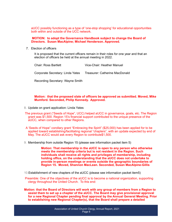aUCC possibly functioning as a type of 'one-stop shopping' for educational opportunities both within and outside of the UCC network.

**MOTION: to adopt the Governance Handbook subject to change the Board of Directors. Susan MacAlpine; Michael Henderson. Approved.**

7. Election of officers

It is proposed that the current officers remain in their roles for one year and that an election of officers be held at the annual meeting in 2022.

Chair: Ross Bartlett Vice-Chair: Heather Manuel Corporate Secretary: Linda Yates Treasurer: Catherine MacDonald

Recording Secretary: Wayne Smith

#### **Motion: that the proposed slate of officers be approved as submitted. Moved, Mike Mumford. Seconded, Philip Kennedy. Approved.**

- 8. Update on grant application: Linda Yates
- The previous grant ("Seeds of Hope", UCC) helped aUCC in governance, goals, etc. The Region grant was \$1,500. Region 15's financial support contributed to the unique presence of the aUCC, when compared to other Regions.
- A 'Seeds of Hope" corollary grant "Embracing the Spirit" (\$25,000) has been applied for to be applied toward establishing/facilitating regional "chapters", with an update expected by end of May. The aUCC would ask every Region to contribute\$1,500.
- 9. Membership from outside Region 15 (please see information packet item 5)

**Motion: That membership in the aUCC is open to any person who otherwise meets the membership criteria but is not resident in the Region. Such individuals shall receive all rights and privileges of membership, including holding office, on the understanding that the aUCC does not undertake to provide in-person meetings or events outside the geographic boundaries of Region 15. Moved, Shannon MacLean. Seconded, Susan MacAlpine-Gillis**

- 10.Establishment of new chapters of the aUCC *(*please see information packet item5)
- Preamble: One of the objectives of the aUCC is to become a national organization, supporting clergy throughout the United Church. To this end:
- **Motion: that the Board of Directors will work with any group of members from a Region to assist them to set up a chapter of the aUCC. The Board may give provisional approval for a new Regional Chapter pending final approval by the Annual General Meeting. Prior to establishing new Regional Chapter(s), that the Board shall prepare a detailed**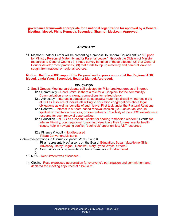**governance framework appropriate for a national organization for approval by a General Meeting. Moved, Philip Kennedy. Seconded, Shannon MacLean. Approved.**

#### *ADVOCACY*

11. Member Heather Ferrier will be presenting a proposal to General Council entitled "Support for Ministry Personnel Maternity and/or Parental Leave." through the Division of Ministry resources to General Council: (1) that a survey be taken of those affected, (2) that General Council develop 'best practices'; (3) that funds to top up maternity and parental leave be sought from national or regional sources.

#### **Motion: that the aUCC support the Proposal and express support at the Regional AGM. Moved, Linda Yates. Seconded, Heather Manuel. Approved.**

#### *EDUCATION*

- 12. Small Groups: Meeting participants self-selected for Pillar breakout groups of interest. 12.a.Community – Carol Smith: is there a role for a 'Chaplain' for the community? Communication among clergy; connections for retired clergy;
	- 12.b.Advocacy -. Interest in education as advocacy: maternity, disability. Interest in the aUCC as a source of individuals willing to education congregations about legal obligations as well as benefits of such leave. First task under the Pastoral Relations.
	- 12.c.Renewal Interest in a Zoom-based renewal session (i.e., Janice McLean) in spiritual or meditation practices, or silent retreats. Possibility of the aUCC website as a resource for such renewal opportunities.
	- 12.d.Education aUCC as a conduit, centre for sharing 'embodied wisdom'; Events for Interim Ministry, congregational 'dreaming/visualizing' their futures; mental health issues, help in navigating conflict; 'book club' opportunities; AST resources
	- 12.e.Finance & Audit Not discussed

Pillars Convenors/Liaisons:

*Detailed descriptions in Information packet items 7 and 8.*

- 1. Pillar representatives/liaisons on the Board: Education, Susan MacAlpine-Gillis; Advocacy, Betsy Hogan.; Renewal, Mary Lynne Whyte; Others?
- 2. Communications representative/ team members Not discussed
- 3.
- 13. Q&A Recruitment was discussed.
- 14. Closing Ross expressed appreciation for everyone's participation and commitment and declared the meeting adjourned at 11:45 a.m.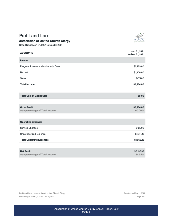## **Profit and Loss**



### association of United Church Clergy

Date Range: Jan 01, 2021 to Dec 31, 2021

| <b>ACCOUNTS</b>                                        | Jan 01, 2021<br>to Dec 31, 2021 |
|--------------------------------------------------------|---------------------------------|
| Income                                                 |                                 |
| Program Income - Membership Dues                       | \$6,789.00                      |
| Retreat                                                | \$1,300.00                      |
| Sales                                                  | \$475.00                        |
| <b>Total Income</b>                                    | \$8,564.00                      |
|                                                        |                                 |
| <b>Total Cost of Goods Sold</b>                        | \$0.00                          |
|                                                        |                                 |
| <b>Gross Profit</b><br>As a percentage of Total Income | \$8,564.00<br>100.00%           |
| <b>Operating Expenses</b>                              |                                 |
| Service Charges                                        | \$125.00                        |
| Uncategorized Expense                                  | \$1,241.10                      |
| <b>Total Operating Expenses</b>                        | \$1,366.10                      |
|                                                        |                                 |
| <b>Net Profit</b><br>As a percentage of Total Income   | \$7,197.90<br>84.05%            |

Profit and Loss - association of United Church Clergy Date Range: Jan 01, 2021 to Dec 31, 2021

Created on May 11, 2022 Page 1/ 1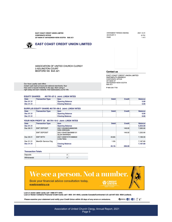| STATEMENT PERIOD ENDING | 2021.12.3 |
|-------------------------|-----------|
| ACCOUNT#                | 6179      |
| PAGE                    | 1 of      |
|                         |           |

 $\overline{\phantom{a}}$ ì1  $\overline{a}$ 

**EAST COAST CREDIT UNION LIMITED** 

257 MAIN ST ANTIGONISH NOVA SCOTIA B2G 2C1

**EAST COAST CREDIT UNION LIMITED** 

CORPORATE OFFICE

ASSOCIATION OF UNITED CHURCH CLERGY **3 ADLINGTON COURT** BEDFORD NS B4A 3Z1

> EAST COAST CREDIT UNION LIMITED<br>DARTMOUTH BRANCH CORPORATE OFFICE ANTIGONISH NOVA SCOTIA<br>B2G 2C1

Contact us

P 866-230-7700

Our Aura Loyalty card offers instant cash back at local and national merchants. Your free card is issued instantly in the app. Start using it<br>right away and earn rewards. Visit eastcoastcu.ca for info

#### **EQUITY SHARES** #61791-07-2 Joint: LINDA YATES

| <b>Date</b> | <b>Transaction Type</b> | Item                   | <b>Debit</b> | Credit - | <b>Balance</b> |
|-------------|-------------------------|------------------------|--------------|----------|----------------|
| Dec 01 21   |                         | <b>Opening Balance</b> |              |          | 5.00           |
| Dec 31 21   |                         | <b>Closing Balance</b> |              |          | 5.00           |

#### SURPLUS EQUITY SHARE #61791-08-2 Joint: LINDA YATES

| <b>Date</b> | <b>Transaction Type</b> | Item                   | <b>Debit</b> | <b>Credit</b> | <b>Balance</b> |
|-------------|-------------------------|------------------------|--------------|---------------|----------------|
| Dec 01 21   |                         | <b>Opening Balance</b> |              |               | 0.00           |
| Dec 31 21   |                         | <b>Closing Balance</b> |              |               | 0.00           |

#### YOUR NON PROFIT 25 #61791-10-2 Joint: LINDA YATES

| <b>Date</b> | <b>Transaction Type</b> | Item                                       | <b>Debit</b> | <b>Credit</b> | <b>Balance</b> |
|-------------|-------------------------|--------------------------------------------|--------------|---------------|----------------|
| Dec 01 21   |                         | <b>Opening Balance</b>                     |              |               | 6,934.90       |
| Dec 06 21   | <b>EMT DEPOSIT</b>      | 20211204062048662395<br><b>IVAN GREGAN</b> |              | 149.00        | 7.083.90       |
|             | <b>EMT DEPOSIT</b>      | 20211204073843666101<br><b>GLEN WARREN</b> |              | 149.00        | 7.232.90       |
| Dec 09 21   | <b>EMT WITH</b>         | 20211209072751666622<br>Linda Yates        | $43.60 - 1$  |               | 7,189.30       |
| Dec 31 21   | MemDir Service Chg      |                                            | $1.50 -$     |               | 7.187.80       |
| Dec 31 21   |                         | <b>Closing Balance</b>                     |              |               | 7,187.80       |
|             |                         | <b>Total</b>                               | $45.10 -$    | 298.00        |                |

#### **Transaction Totals**

| Deposits    |  |
|-------------|--|
| Withdrawals |  |

# We see a person. Not a number.

Book your financial advice consultation today. eastcoastcu.ca

**EREDIT** 

Lost or stolen debit cards call 1-888-277-1043.

Lost or Stolen Collabria Financial Credit Cards call 1-855- 341-4643, outside Canada/Continental U.S call 647-252- 9564 (collect).

Please examine your statement and notify your Credit Union within 30 days of any errors or omissions.

**BROOMBER AND CITY OF THE STATE**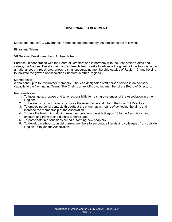#### **GOVERNANCE AMENDMENT**

Moved that the aUCC Governance Handbook be amended by the addition of the following.

Pillars and Teams

VII National Development and Outreach Team.

Purpose: In cooperation with the Board of Directors and in harmony with the Association's aims and values, the National Development and Outreach Team seeks to advance the growth of the Association as a national body, through awareness raising, encouraging membership outside of Region 15, and helping to facilitate the growth of Association Chapters in other Regions.

#### Membership:

A chair and up to four volunteer members. The lead designated staff person serves in an advisory capacity to the Nominating Team. The Chair is an ex officio voting member of the Board of Directors.

#### **Responsibilities**

- 1. To investigate, propose and take responsibility for raising awareness of the Association in other **Regions**
- 2. To be alert to opportunities to promote the Association and inform the Board of Directors
- 3. To employ personal contacts throughout the church as a means of achieving the aims and increase the membership of the Association
- 4. To take the lead in introducing new members from outside Region 15 to the Association and encouraging them to find a place to participate
- 5. To participate in discussions aimed at forming new chapters
- 6. To develop methods to assist current members to encourage friends and colleagues from outside Region 15 to join the Association.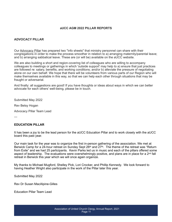#### **aUCC AGM 2022 PILLAR REPORTS**

#### **ADVOCACY PILLAR**

Our Advocacy Pillar has prepared two "info sheets" that ministry personnel can share with their congregations in order to make the process smoother in relation to a) arranging maternity/parental leave; and b) arranging sabbatical leave. These are (or will be) available on the aUCC website.

We are also building a short and region-covering list of colleagues who are willing to accompany colleagues to meetings or gatherings in which 'outside support' may help to a) ensure that just practices are followed re: salary, benefits, and working conditions; and/or b) alleviate the pressure of negotiating alone on our own behalf. We hope that there will be volunteers from various parts of our Region who will make themselves available in this way, so that we can help each other through situations that may be fraught or adversarial.

And finally: all suggestions are good! If you have thoughts or ideas about ways in which we can better advocate for each others' well-being, please be in touch.

Submitted May 2022

Rev Betsy Hogan

Advocacy Pillar Team Lead

---

#### **EDUCATION PILLAR**

It has been a joy to be the lead person for the aUCC Education Pillar and to work closely with the aUCC board this past year.

Our main task for the year was to organize the first in-person gathering of the association. We met at Berwick Camp for a 24-hour retreat on Sunday Sept 26<sup>th</sup> and 27<sup>th</sup>. The theme of the retreat was "Return from Exile" and we had 25 participants. Kevin Parks led us in music and each of the pillars offered some aspect of leadership. The evaluations were overwhelmingly positive, and plans are in place for a  $2^{nd}$  fall retreat in Berwick this year which we will once again organize.

My thanks to Michael Mugford, Shelley Pick, Lori Crocker, and Phillip Kennedy. We look forward to having Heather Wright also participate in the work of the Pillar later this year.

Submitted May 2022

Rev Dr Susan MacAlpine-Gilles

Education Pillar Team Lead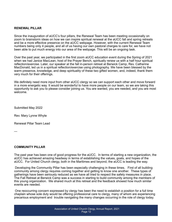#### **RENEWAL PILLAR**

Since the inauguration of aUCC's four pillars, the Renewal Team has been meeting occasionally on zoom to brainstorm ideas on how we can inspire spiritual renewal at the aUCC fall and spring retreats and be a more effective presence on the aUCC webpage. However, with the current Renewal Team numbers being only 4 people, and all of us having our own pastoral charges to care for, we have not been able to put much energy into our area of the webpage. This will be an ongoing task.

Over the past year, we participated in the first zoom aUCC education event during the Spring of 2021 when we had Janice MacLean, host of the Prayer Bench, spiritually renew us with a half hour spiritual reflection/exercise. Later, our speaker at the fall in-person retreat at Berwick Camp, Rev. Catherine MacDonald, led us in a spiritual reflection/exercise using photography. We have been blessed by the warm presence, knowledge, and deep spirituality of these two gifted women, and, indeed, thank them very much for their offerings.

We definitely need more input from other aUCC clergy so we can support each other and move forward in a more energetic way. It would be wonderful to have more people on our team, so we are taking this opportunity to ask you to please consider joining us. You are wanted, you are needed, and you are most welcome.

Submitted May 2022

Rev. Mary Lynne Whyte

Renewal Pillar Team Lead

—

#### **COMMUNITY PILLAR**

The past year has been one of good progress for the aUCC. In terms of starting a new organization, the aUCC has achieved amazing headway in terms of establishing the values, goals, and hopes of the aUCC. For United Church clergy, both in the Maritimes and beyond, the aUCC is leading the way.

 Developing the Community Pillar has been especially challenging in these times. First of all building community among clergy requires coming together and getting to know one another. These types of gatherings have been seriously reduced as we have all tried to respect the safety measures in place. The Fall Retreat at Berwick Camp was a success in starting to build community among the members of this young organization. We shared much at this retreat and the feedback showed how much similar events are needed.

 One reoccurring concern expressed by clergy has been the need to establish a position for a full time chaplain whose sole duty would be offering professional care to clergy, many of whom are experiencing precarious employment and trouble navigating the many changes occurring in the role of clergy today.